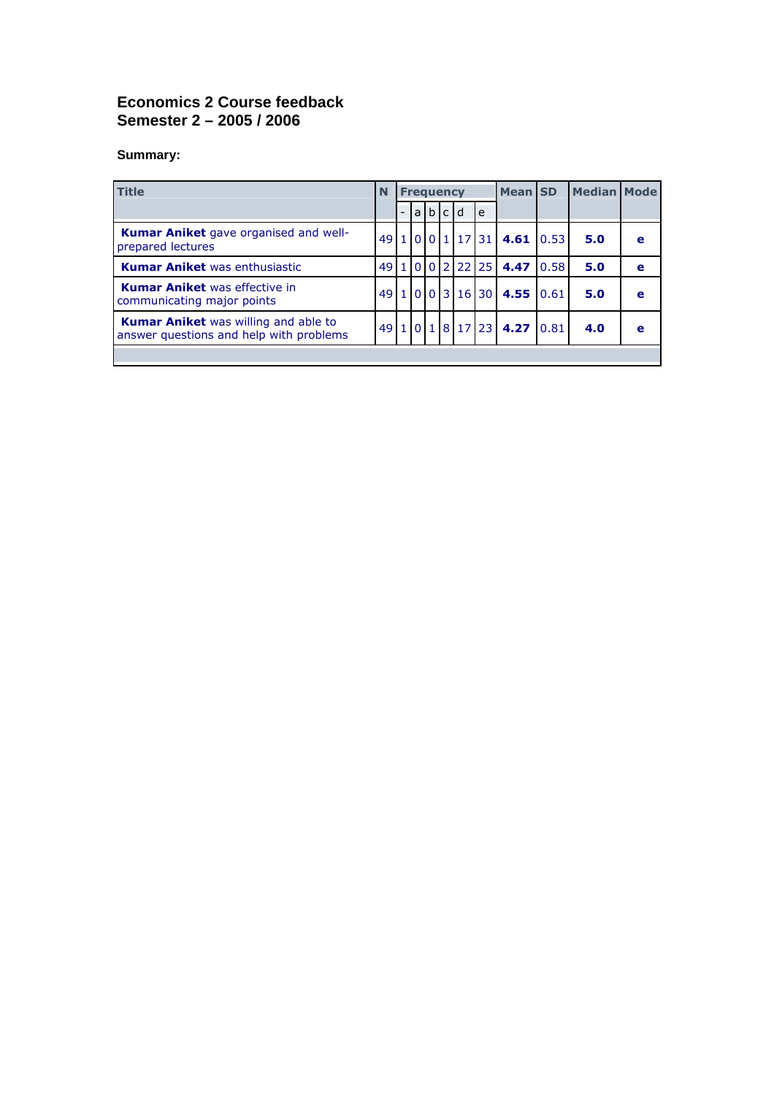## **Economics 2 Course feedback Semester 2 – 2005 / 2006**

## **Summary:**

| <b>Title</b>                                                                           | N  | <b>Frequency</b> |     |  |     |          |                   | <b>Mean</b> SD           |       | <b>Median Mode</b> |   |
|----------------------------------------------------------------------------------------|----|------------------|-----|--|-----|----------|-------------------|--------------------------|-------|--------------------|---|
|                                                                                        |    |                  | a l |  | b c | d        | e                 |                          |       |                    |   |
| <b>Kumar Aniket</b> gave organised and well-<br>prepared lectures                      |    |                  |     |  |     |          | 49 1 0 0 1 1 2 31 | 4.61 0.53                |       | 5.0                | e |
| <b>Kumar Aniket</b> was enthusiastic                                                   |    |                  |     |  |     |          | 1002222           | 4.47                     | 10.58 | 5.0                | e |
| <b>Kumar Aniket</b> was effective in<br>communicating major points                     | 49 | $\mathbf{1}$     |     |  |     | 0 0 3 16 | 30 <sup>1</sup>   | 4.55 0.61                |       | 5.0                | e |
| <b>Kumar Aniket</b> was willing and able to<br>answer questions and help with problems | 49 |                  |     |  |     |          | 10181723          | $4.27 \,   \, 0.81 \,  $ |       | 4.0                | e |
|                                                                                        |    |                  |     |  |     |          |                   |                          |       |                    |   |